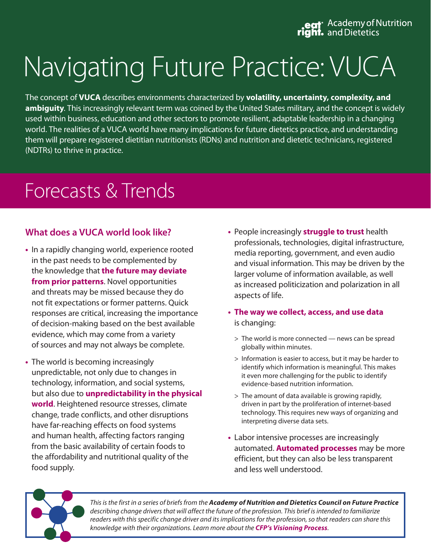eat Academy of Nutrition<br> **right.** and Dietetics

# Navigating Future Practice: VUCA

The concept of **VUCA** describes environments characterized by **volatility, uncertainty, complexity, and ambiguity**. This increasingly relevant term was coined by the United States military, and the concept is widely used within business, education and other sectors to promote resilient, adaptable leadership in a changing world. The realities of a VUCA world have many implications for future dietetics practice, and understanding them will prepare registered dietitian nutritionists (RDNs) and nutrition and dietetic technicians, registered (NDTRs) to thrive in practice.

# Forecasts & Trends

#### **What does a VUCA world look like?**

- In a rapidly changing world, experience rooted in the past needs to be complemented by the knowledge that **the future may deviate from prior patterns**. Novel opportunities and threats may be missed because they do not fit expectations or former patterns. Quick responses are critical, increasing the importance of decision-making based on the best available evidence, which may come from a variety of sources and may not always be complete.
- The world is becoming increasingly unpredictable, not only due to changes in technology, information, and social systems, but also due to **unpredictability in the physical world**. Heightened resource stresses, climate change, trade conflicts, and other disruptions have far-reaching effects on food systems and human health, affecting factors ranging from the basic availability of certain foods to the affordability and nutritional quality of the food supply.
- **•**  People increasingly **struggle to trust** health professionals, technologies, digital infrastructure, media reporting, government, and even audio and visual information. This may be driven by the larger volume of information available, as well as increased politicization and polarization in all aspects of life.
- **• The way we collect, access, and use data**  is changing:
	- > The world is more connected news can be spread globally within minutes.
	- > Information is easier to access, but it may be harder to identify which information is meaningful. This makes it even more challenging for the public to identify evidence-based nutrition information.
	- > The amount of data available is growing rapidly, driven in part by the proliferation of internet-based technology. This requires new ways of organizing and interpreting diverse data sets.
- **•**  Labor intensive processes are increasingly automated. **Automated processes** may be more efficient, but they can also be less transparent and less well understood.



*This is the first in a series of briefs from the Academy of Nutrition and Dietetics Council on Future Practice describing change drivers that will affect the future of the profession. This brief is intended to familiarize*  readers with this specific change driver and its implications for the profession, so that readers can share this *knowledge with their organizations. Learn more about the [CFP's Visioning Process](https://www.eatrightpro.org/leadership/governance/governance-resources/visioning-process).*